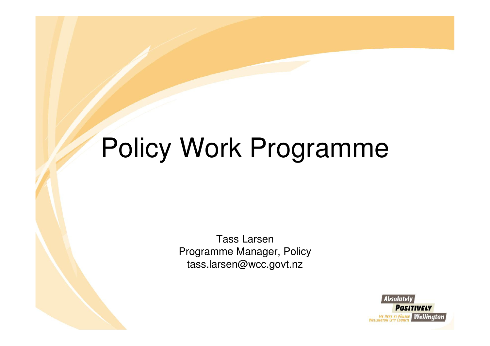# Policy Work Programme

Tass Larsen Programme Manager, Policytass.larsen@wcc.govt.nz

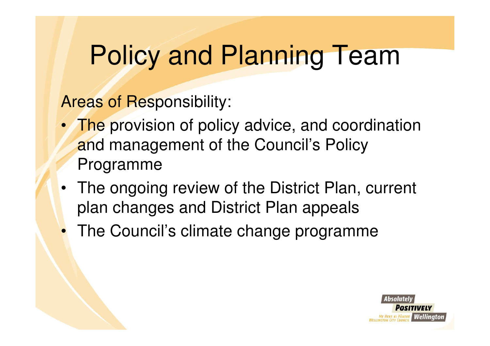#### Policy and Planning Team

Areas of Responsibility:

- The provision of policy advice, and coordination and management of the Council's Policy Programme
- The ongoing review of the District Plan, current plan changes and District Plan appeals
- The Council's climate change programme

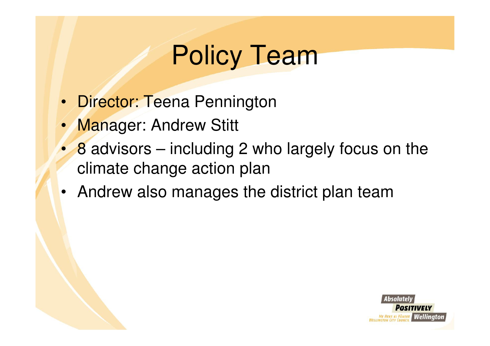## Policy Team

- Director: Teena Pennington
- Manager: Andrew Stitt
- 8 advisors including 2 who largely focus on the climate change action plan
- Andrew also manages the district plan team

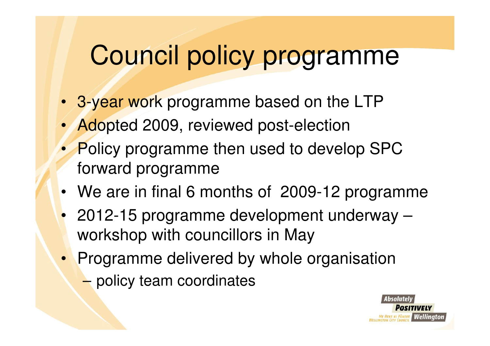## Council policy programme

- 3-year work programme based on the LTP
- Adopted 2009, reviewed post-election
- Policy programme then used to develop SPC forward programme
- We are in final 6 months of 2009-12 programme
- 2012-15 programme development underway –workshop with councillors in May
- Programme delivered by whole organisation–policy team coordinates

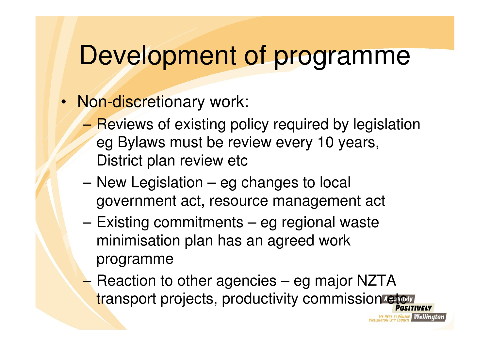#### Development of programme

- Non-discretionary work:
	- –**Reviews of existing policy required by legislation** eg Bylaws must be review every 10 years, District plan review etc
	- – New Legislation – eg changes to local government act, resource management act
	- – Existing commitments – eg regional waste minimisation plan has an agreed work programme
	- Reaction to other agencies eg major NZTA transport projects, productivity commission etc

l Wellinator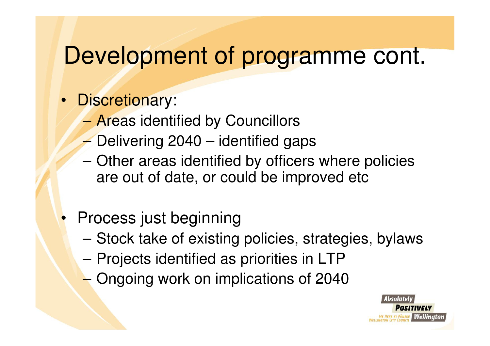#### Development of programme cont.

- Discretionary:
	- –Areas identified by Councillors
	- Delivering 2040 identified gaps–
	- Other areas identified by officers where policies are out of date, or could be improved etc
- Process just beginning
	- Stock take of existing policies, strategies, bylaws
	- –Projects identified as priorities in LTP
	- –Ongoing work on implications of 2040